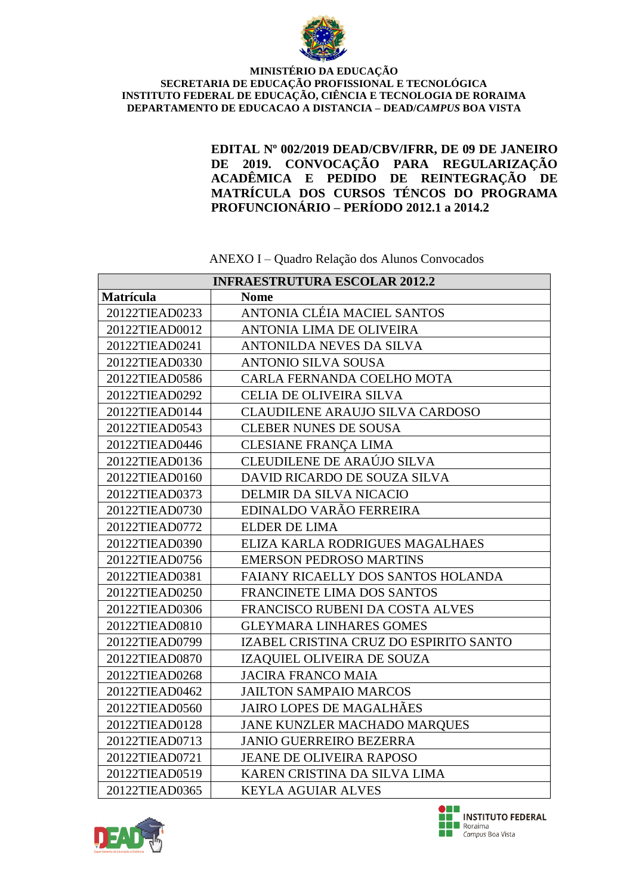

**EDITAL Nº 002/2019 DEAD/CBV/IFRR, DE 09 DE JANEIRO DE 2019. CONVOCAÇÃO PARA REGULARIZAÇÃO ACADÊMICA E PEDIDO DE REINTEGRAÇÃO DE MATRÍCULA DOS CURSOS TÉNCOS DO PROGRAMA PROFUNCIONÁRIO – PERÍODO 2012.1 a 2014.2**

**INFRAESTRUTURA ESCOLAR 2012.2 Matrícula Nome** 20122TIEAD0233 ANTONIA CLÉIA MACIEL SANTOS 20122TIEAD0012 ANTONIA LIMA DE OLIVEIRA 20122TIEAD0241 ANTONILDA NEVES DA SILVA 20122TIEAD0330 ANTONIO SILVA SOUSA 20122TIEAD0586 | CARLA FERNANDA COELHO MOTA 20122TIEAD0292 CELIA DE OLIVEIRA SILVA 20122TIEAD0144 CLAUDILENE ARAUJO SILVA CARDOSO 20122TIEAD0543 CLEBER NUNES DE SOUSA 20122TIEAD0446 CLESIANE FRANÇA LIMA 20122TIEAD0136 CLEUDILENE DE ARAÚJO SILVA 20122TIEAD0160 DAVID RICARDO DE SOUZA SILVA 20122TIEAD0373 DELMIR DA SILVA NICACIO 20122TIEAD0730 EDINALDO VARÃO FERREIRA 20122TIEAD0772 ELDER DE LIMA 20122TIEAD0390 ELIZA KARLA RODRIGUES MAGALHAES 20122TIEAD0756 | EMERSON PEDROSO MARTINS 20122TIEAD0381 FAIANY RICAELLY DOS SANTOS HOLANDA 20122TIEAD0250 FRANCINETE LIMA DOS SANTOS 20122TIEAD0306 FRANCISCO RUBENI DA COSTA ALVES 20122TIEAD0810 GLEYMARA LINHARES GOMES 20122TIEAD0799 IZABEL CRISTINA CRUZ DO ESPIRITO SANTO 20122TIEAD0870 IZAQUIEL OLIVEIRA DE SOUZA 20122TIEAD0268 JACIRA FRANCO MAIA 20122TIEAD0462 JAILTON SAMPAIO MARCOS 20122TIEAD0560 JAIRO LOPES DE MAGALHÃES 20122TIEAD0128 JANE KUNZLER MACHADO MARQUES 20122TIEAD0713 JANIO GUERREIRO BEZERRA 20122TIEAD0721 JEANE DE OLIVEIRA RAPOSO 20122TIEAD0519 KAREN CRISTINA DA SILVA LIMA 20122TIEAD0365 | KEYLA AGUIAR ALVES

ANEXO I – Quadro Relação dos Alunos Convocados



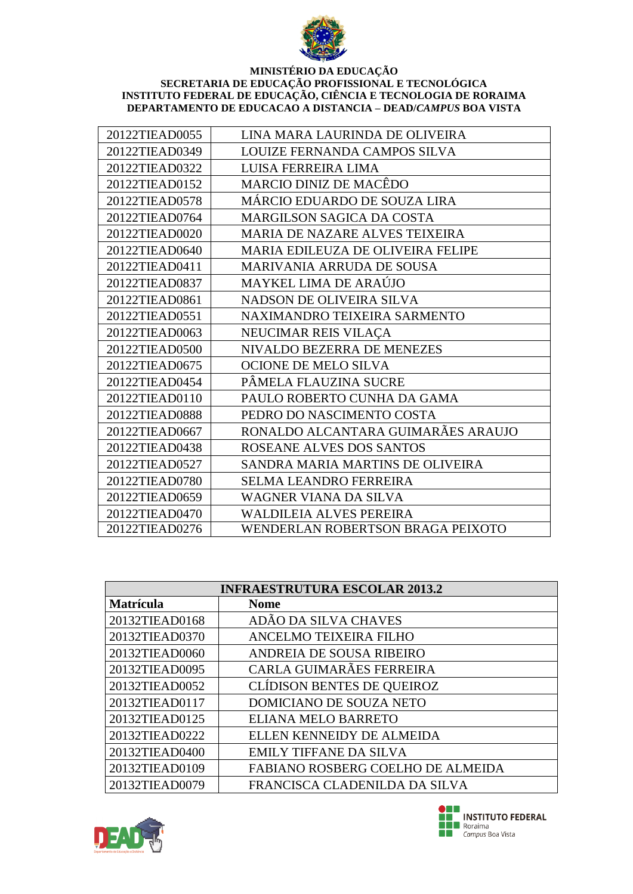

| 20122TIEAD0055 | LINA MARA LAURINDA DE OLIVEIRA           |
|----------------|------------------------------------------|
| 20122TIEAD0349 | LOUIZE FERNANDA CAMPOS SILVA             |
| 20122TIEAD0322 | LUISA FERREIRA LIMA                      |
| 20122TIEAD0152 | MARCIO DINIZ DE MACÊDO                   |
| 20122TIEAD0578 | MÁRCIO EDUARDO DE SOUZA LIRA             |
| 20122TIEAD0764 | <b>MARGILSON SAGICA DA COSTA</b>         |
| 20122TIEAD0020 | <b>MARIA DE NAZARE ALVES TEIXEIRA</b>    |
| 20122TIEAD0640 | MARIA EDILEUZA DE OLIVEIRA FELIPE        |
| 20122TIEAD0411 | <b>MARIVANIA ARRUDA DE SOUSA</b>         |
| 20122TIEAD0837 | MAYKEL LIMA DE ARAÚJO                    |
| 20122TIEAD0861 | NADSON DE OLIVEIRA SILVA                 |
| 20122TIEAD0551 | NAXIMANDRO TEIXEIRA SARMENTO             |
| 20122TIEAD0063 | NEUCIMAR REIS VILAÇA                     |
| 20122TIEAD0500 | NIVALDO BEZERRA DE MENEZES               |
| 20122TIEAD0675 | OCIONE DE MELO SILVA                     |
| 20122TIEAD0454 | PÂMELA FLAUZINA SUCRE                    |
| 20122TIEAD0110 | PAULO ROBERTO CUNHA DA GAMA              |
| 20122TIEAD0888 | PEDRO DO NASCIMENTO COSTA                |
| 20122TIEAD0667 | RONALDO ALCANTARA GUIMARÃES ARAUJO       |
| 20122TIEAD0438 | ROSEANE ALVES DOS SANTOS                 |
| 20122TIEAD0527 | SANDRA MARIA MARTINS DE OLIVEIRA         |
| 20122TIEAD0780 | <b>SELMA LEANDRO FERREIRA</b>            |
| 20122TIEAD0659 | WAGNER VIANA DA SILVA                    |
| 20122TIEAD0470 | WALDILEIA ALVES PEREIRA                  |
| 20122TIEAD0276 | <b>WENDERLAN ROBERTSON BRAGA PEIXOTO</b> |

| <b>INFRAESTRUTURA ESCOLAR 2013.2</b> |                                   |
|--------------------------------------|-----------------------------------|
| Matrícula                            | <b>Nome</b>                       |
| 20132TIEAD0168                       | ADÃO DA SILVA CHAVES              |
| 20132TIEAD0370                       | ANCELMO TEIXEIRA FILHO            |
| 20132TIEAD0060                       | ANDREIA DE SOUSA RIBEIRO          |
| 20132TIEAD0095                       | CARLA GUIMARÃES FERREIRA          |
| 20132TIEAD0052                       | <b>CLÍDISON BENTES DE QUEIROZ</b> |
| 20132TIEAD0117                       | DOMICIANO DE SOUZA NETO           |
| 20132TIEAD0125                       | ELIANA MELO BARRETO               |
| 20132TIEAD0222                       | ELLEN KENNEIDY DE ALMEIDA         |
| 20132TIEAD0400                       | <b>EMILY TIFFANE DA SILVA</b>     |
| 20132TIEAD0109                       | FABIANO ROSBERG COELHO DE ALMEIDA |
| 20132TIEAD0079                       | FRANCISCA CLADENILDA DA SILVA     |



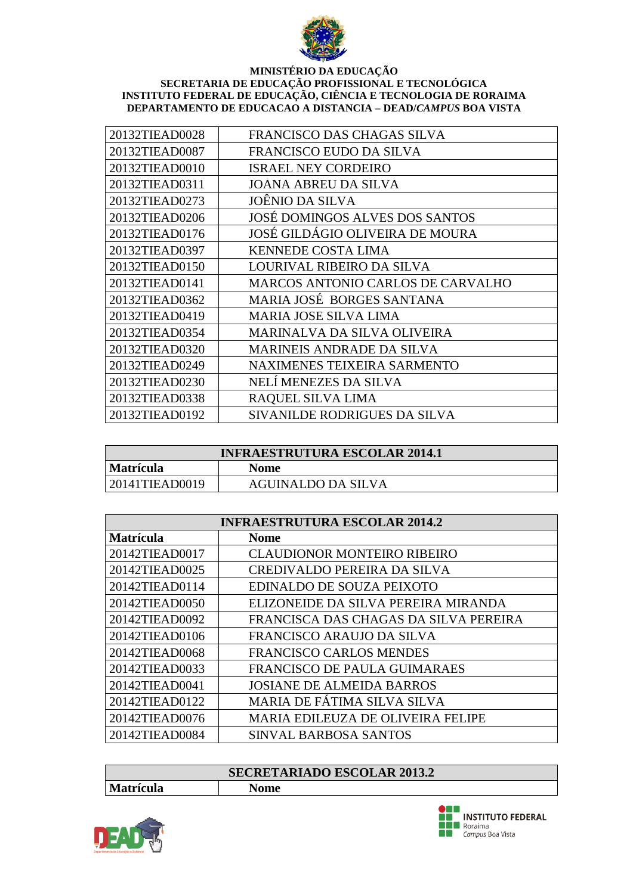

| 20132TIEAD0028 | FRANCISCO DAS CHAGAS SILVA         |
|----------------|------------------------------------|
| 20132TIEAD0087 | FRANCISCO EUDO DA SILVA            |
| 20132TIEAD0010 | <b>ISRAEL NEY CORDEIRO</b>         |
| 20132TIEAD0311 | JOANA ABREU DA SILVA               |
| 20132TIEAD0273 | JOÊNIO DA SILVA                    |
| 20132TIEAD0206 | JOSÉ DOMINGOS ALVES DOS SANTOS     |
| 20132TIEAD0176 | JOSÉ GILDÁGIO OLIVEIRA DE MOURA    |
| 20132TIEAD0397 | <b>KENNEDE COSTA LIMA</b>          |
| 20132TIEAD0150 | LOURIVAL RIBEIRO DA SILVA          |
| 20132TIEAD0141 | MARCOS ANTONIO CARLOS DE CARVALHO  |
| 20132TIEAD0362 | MARIA JOSÉ BORGES SANTANA          |
| 20132TIEAD0419 | <b>MARIA JOSE SILVA LIMA</b>       |
| 20132TIEAD0354 | MARINALVA DA SILVA OLIVEIRA        |
| 20132TIEAD0320 | <b>MARINEIS ANDRADE DA SILVA</b>   |
| 20132TIEAD0249 | <b>NAXIMENES TEIXEIRA SARMENTO</b> |
| 20132TIEAD0230 | NELÍ MENEZES DA SILVA              |
| 20132TIEAD0338 | RAQUEL SILVA LIMA                  |
| 20132TIEAD0192 | SIVANILDE RODRIGUES DA SILVA       |

| <b>INFRAESTRUTURA ESCOLAR 2014.1</b> |                    |
|--------------------------------------|--------------------|
| <b>Matrícula</b>                     | <b>Nome</b>        |
| $ 20141$ TIEAD0019                   | AGUINALDO DA SILVA |

| <b>INFRAESTRUTURA ESCOLAR 2014.2</b> |                                          |
|--------------------------------------|------------------------------------------|
| <b>Matrícula</b>                     | <b>Nome</b>                              |
| 20142TIEAD0017                       | <b>CLAUDIONOR MONTEIRO RIBEIRO</b>       |
| 20142TIEAD0025                       | <b>CREDIVALDO PEREIRA DA SILVA</b>       |
| 20142TIEAD0114                       | EDINALDO DE SOUZA PEIXOTO                |
| 20142TIEAD0050                       | ELIZONEIDE DA SILVA PEREIRA MIRANDA      |
| 20142TIEAD0092                       | FRANCISCA DAS CHAGAS DA SILVA PEREIRA    |
| 20142TIEAD0106                       | FRANCISCO ARAUJO DA SILVA                |
| 20142TIEAD0068                       | <b>FRANCISCO CARLOS MENDES</b>           |
| 20142TIEAD0033                       | FRANCISCO DE PAULA GUIMARAES             |
| 20142TIEAD0041                       | <b>JOSIANE DE ALMEIDA BARROS</b>         |
| 20142TIEAD0122                       | MARIA DE FÁTIMA SILVA SILVA              |
| 20142TIEAD0076                       | <b>MARIA EDILEUZA DE OLIVEIRA FELIPE</b> |
| 20142TIEAD0084                       | <b>SINVAL BARBOSA SANTOS</b>             |

| <b>SECRETARIADO ESCOLAR 2013.2</b> |      |
|------------------------------------|------|
| <b>Matrícula</b>                   | Nome |



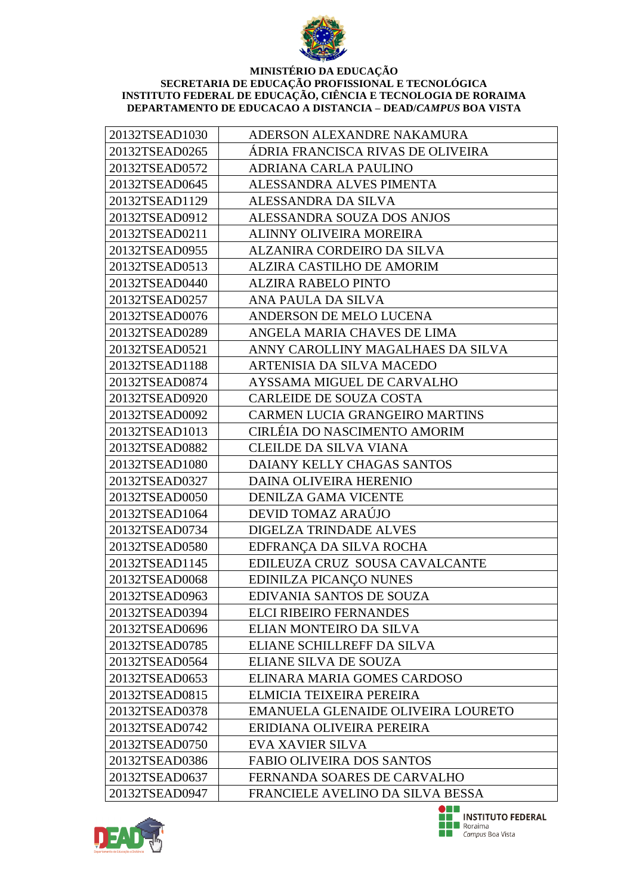

| 20132TSEAD1030 | ADERSON ALEXANDRE NAKAMURA            |
|----------------|---------------------------------------|
| 20132TSEAD0265 | ÁDRIA FRANCISCA RIVAS DE OLIVEIRA     |
| 20132TSEAD0572 | ADRIANA CARLA PAULINO                 |
| 20132TSEAD0645 | ALESSANDRA ALVES PIMENTA              |
| 20132TSEAD1129 | ALESSANDRA DA SILVA                   |
| 20132TSEAD0912 | ALESSANDRA SOUZA DOS ANJOS            |
| 20132TSEAD0211 | ALINNY OLIVEIRA MOREIRA               |
| 20132TSEAD0955 | <b>ALZANIRA CORDEIRO DA SILVA</b>     |
| 20132TSEAD0513 | ALZIRA CASTILHO DE AMORIM             |
| 20132TSEAD0440 | <b>ALZIRA RABELO PINTO</b>            |
| 20132TSEAD0257 | ANA PAULA DA SILVA                    |
| 20132TSEAD0076 | ANDERSON DE MELO LUCENA               |
| 20132TSEAD0289 | ANGELA MARIA CHAVES DE LIMA           |
| 20132TSEAD0521 | ANNY CAROLLINY MAGALHAES DA SILVA     |
| 20132TSEAD1188 | ARTENISIA DA SILVA MACEDO             |
| 20132TSEAD0874 | AYSSAMA MIGUEL DE CARVALHO            |
| 20132TSEAD0920 | <b>CARLEIDE DE SOUZA COSTA</b>        |
| 20132TSEAD0092 | <b>CARMEN LUCIA GRANGEIRO MARTINS</b> |
| 20132TSEAD1013 | CIRLÉIA DO NASCIMENTO AMORIM          |
| 20132TSEAD0882 | <b>CLEILDE DA SILVA VIANA</b>         |
| 20132TSEAD1080 | DAIANY KELLY CHAGAS SANTOS            |
| 20132TSEAD0327 | DAINA OLIVEIRA HERENIO                |
| 20132TSEAD0050 | <b>DENILZA GAMA VICENTE</b>           |
| 20132TSEAD1064 | DEVID TOMAZ ARAÚJO                    |
| 20132TSEAD0734 | DIGELZA TRINDADE ALVES                |
| 20132TSEAD0580 | EDFRANÇA DA SILVA ROCHA               |
| 20132TSEAD1145 | EDILEUZA CRUZ SOUSA CAVALCANTE        |
| 20132TSEAD0068 | EDINILZA PICANÇO NUNES                |
| 20132TSEAD0963 | EDIVANIA SANTOS DE SOUZA              |
| 20132TSEAD0394 | <b>ELCI RIBEIRO FERNANDES</b>         |
| 20132TSEAD0696 | ELIAN MONTEIRO DA SILVA               |
| 20132TSEAD0785 | ELIANE SCHILLREFF DA SILVA            |
| 20132TSEAD0564 | ELIANE SILVA DE SOUZA                 |
| 20132TSEAD0653 | ELINARA MARIA GOMES CARDOSO           |
| 20132TSEAD0815 | ELMICIA TEIXEIRA PEREIRA              |
| 20132TSEAD0378 | EMANUELA GLENAIDE OLIVEIRA LOURETO    |
| 20132TSEAD0742 | ERIDIANA OLIVEIRA PEREIRA             |
| 20132TSEAD0750 | <b>EVA XAVIER SILVA</b>               |
| 20132TSEAD0386 | <b>FABIO OLIVEIRA DOS SANTOS</b>      |
| 20132TSEAD0637 | FERNANDA SOARES DE CARVALHO           |
| 20132TSEAD0947 | FRANCIELE AVELINO DA SILVA BESSA      |



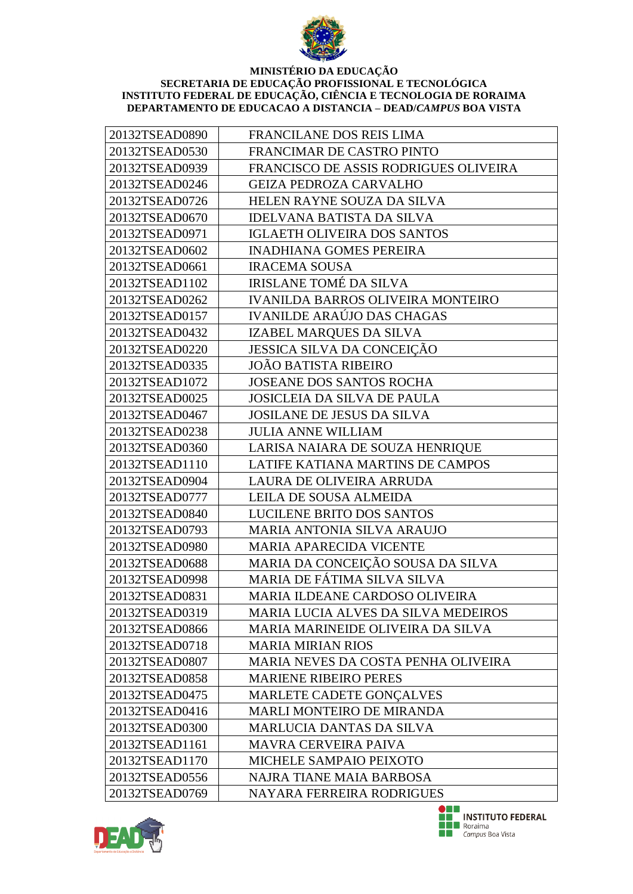

| 20132TSEAD0890 | <b>FRANCILANE DOS REIS LIMA</b>          |
|----------------|------------------------------------------|
| 20132TSEAD0530 | FRANCIMAR DE CASTRO PINTO                |
| 20132TSEAD0939 | FRANCISCO DE ASSIS RODRIGUES OLIVEIRA    |
| 20132TSEAD0246 | <b>GEIZA PEDROZA CARVALHO</b>            |
| 20132TSEAD0726 | HELEN RAYNE SOUZA DA SILVA               |
| 20132TSEAD0670 | <b>IDELVANA BATISTA DA SILVA</b>         |
| 20132TSEAD0971 | <b>IGLAETH OLIVEIRA DOS SANTOS</b>       |
| 20132TSEAD0602 | <b>INADHIANA GOMES PEREIRA</b>           |
| 20132TSEAD0661 | <b>IRACEMA SOUSA</b>                     |
| 20132TSEAD1102 | <b>IRISLANE TOMÉ DA SILVA</b>            |
| 20132TSEAD0262 | <b>IVANILDA BARROS OLIVEIRA MONTEIRO</b> |
| 20132TSEAD0157 | <b>IVANILDE ARAÚJO DAS CHAGAS</b>        |
| 20132TSEAD0432 | IZABEL MARQUES DA SILVA                  |
| 20132TSEAD0220 | <b>JESSICA SILVA DA CONCEIÇÃO</b>        |
| 20132TSEAD0335 | <b>JOÃO BATISTA RIBEIRO</b>              |
| 20132TSEAD1072 | <b>JOSEANE DOS SANTOS ROCHA</b>          |
| 20132TSEAD0025 | <b>JOSICLEIA DA SILVA DE PAULA</b>       |
| 20132TSEAD0467 | <b>JOSILANE DE JESUS DA SILVA</b>        |
| 20132TSEAD0238 | <b>JULIA ANNE WILLIAM</b>                |
| 20132TSEAD0360 | LARISA NAIARA DE SOUZA HENRIQUE          |
| 20132TSEAD1110 | LATIFE KATIANA MARTINS DE CAMPOS         |
| 20132TSEAD0904 | LAURA DE OLIVEIRA ARRUDA                 |
| 20132TSEAD0777 | LEILA DE SOUSA ALMEIDA                   |
| 20132TSEAD0840 | LUCILENE BRITO DOS SANTOS                |
| 20132TSEAD0793 | <b>MARIA ANTONIA SILVA ARAUJO</b>        |
| 20132TSEAD0980 | <b>MARIA APARECIDA VICENTE</b>           |
| 20132TSEAD0688 | MARIA DA CONCEIÇÃO SOUSA DA SILVA        |
| 20132TSEAD0998 | MARIA DE FÁTIMA SILVA SILVA              |
| 20132TSEAD0831 | MARIA ILDEANE CARDOSO OLIVEIRA           |
| 20132TSEAD0319 | MARIA LUCIA ALVES DA SILVA MEDEIROS      |
| 20132TSEAD0866 | MARIA MARINEIDE OLIVEIRA DA SILVA        |
| 20132TSEAD0718 | <b>MARIA MIRIAN RIOS</b>                 |
| 20132TSEAD0807 | MARIA NEVES DA COSTA PENHA OLIVEIRA      |
| 20132TSEAD0858 | <b>MARIENE RIBEIRO PERES</b>             |
| 20132TSEAD0475 | MARLETE CADETE GONÇALVES                 |
| 20132TSEAD0416 | MARLI MONTEIRO DE MIRANDA                |
| 20132TSEAD0300 | MARLUCIA DANTAS DA SILVA                 |
| 20132TSEAD1161 | <b>MAVRA CERVEIRA PAIVA</b>              |
| 20132TSEAD1170 | MICHELE SAMPAIO PEIXOTO                  |
| 20132TSEAD0556 | NAJRA TIANE MAIA BARBOSA                 |
| 20132TSEAD0769 | NAYARA FERREIRA RODRIGUES                |



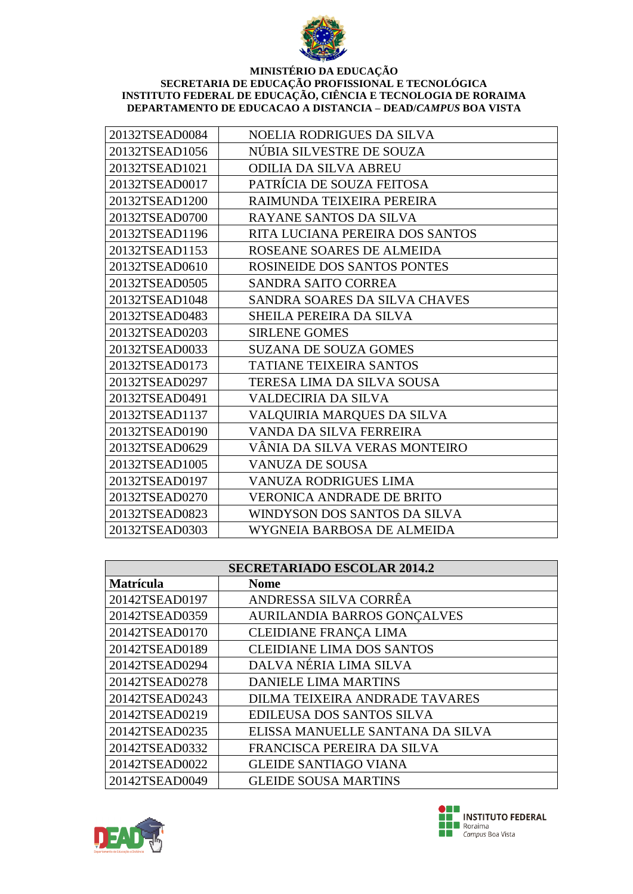

| 20132TSEAD0084 | NOELIA RODRIGUES DA SILVA        |
|----------------|----------------------------------|
| 20132TSEAD1056 | NÚBIA SILVESTRE DE SOUZA         |
| 20132TSEAD1021 | <b>ODILIA DA SILVA ABREU</b>     |
| 20132TSEAD0017 | PATRÍCIA DE SOUZA FEITOSA        |
| 20132TSEAD1200 | RAIMUNDA TEIXEIRA PEREIRA        |
| 20132TSEAD0700 | RAYANE SANTOS DA SILVA           |
| 20132TSEAD1196 | RITA LUCIANA PEREIRA DOS SANTOS  |
| 20132TSEAD1153 | ROSEANE SOARES DE ALMEIDA        |
| 20132TSEAD0610 | ROSINEIDE DOS SANTOS PONTES      |
| 20132TSEAD0505 | SANDRA SAITO CORREA              |
| 20132TSEAD1048 | SANDRA SOARES DA SILVA CHAVES    |
| 20132TSEAD0483 | SHEILA PEREIRA DA SILVA          |
| 20132TSEAD0203 | <b>SIRLENE GOMES</b>             |
| 20132TSEAD0033 | <b>SUZANA DE SOUZA GOMES</b>     |
| 20132TSEAD0173 | <b>TATIANE TEIXEIRA SANTOS</b>   |
| 20132TSEAD0297 | TERESA LIMA DA SILVA SOUSA       |
| 20132TSEAD0491 | <b>VALDECIRIA DA SILVA</b>       |
| 20132TSEAD1137 | VALQUIRIA MARQUES DA SILVA       |
| 20132TSEAD0190 | VANDA DA SILVA FERREIRA          |
| 20132TSEAD0629 | VÂNIA DA SILVA VERAS MONTEIRO    |
| 20132TSEAD1005 | <b>VANUZA DE SOUSA</b>           |
| 20132TSEAD0197 | <b>VANUZA RODRIGUES LIMA</b>     |
| 20132TSEAD0270 | <b>VERONICA ANDRADE DE BRITO</b> |
| 20132TSEAD0823 | WINDYSON DOS SANTOS DA SILVA     |
| 20132TSEAD0303 | WYGNEIA BARBOSA DE ALMEIDA       |

| <b>SECRETARIADO ESCOLAR 2014.2</b> |                                    |
|------------------------------------|------------------------------------|
| <b>Matrícula</b>                   | <b>Nome</b>                        |
| 20142TSEAD0197                     | ANDRESSA SILVA CORRÊA              |
| 20142TSEAD0359                     | <b>AURILANDIA BARROS GONCALVES</b> |
| 20142TSEAD0170                     | CLEIDIANE FRANÇA LIMA              |
| 20142TSEAD0189                     | <b>CLEIDIANE LIMA DOS SANTOS</b>   |
| 20142TSEAD0294                     | DALVA NÉRIA LIMA SILVA             |
| 20142TSEAD0278                     | <b>DANIELE LIMA MARTINS</b>        |
| 20142TSEAD0243                     | DILMA TEIXEIRA ANDRADE TAVARES     |
| 20142TSEAD0219                     | EDILEUSA DOS SANTOS SILVA          |
| 20142TSEAD0235                     | ELISSA MANUELLE SANTANA DA SILVA   |
| 20142TSEAD0332                     | FRANCISCA PEREIRA DA SILVA         |
| 20142TSEAD0022                     | <b>GLEIDE SANTIAGO VIANA</b>       |
| 20142TSEAD0049                     | <b>GLEIDE SOUSA MARTINS</b>        |



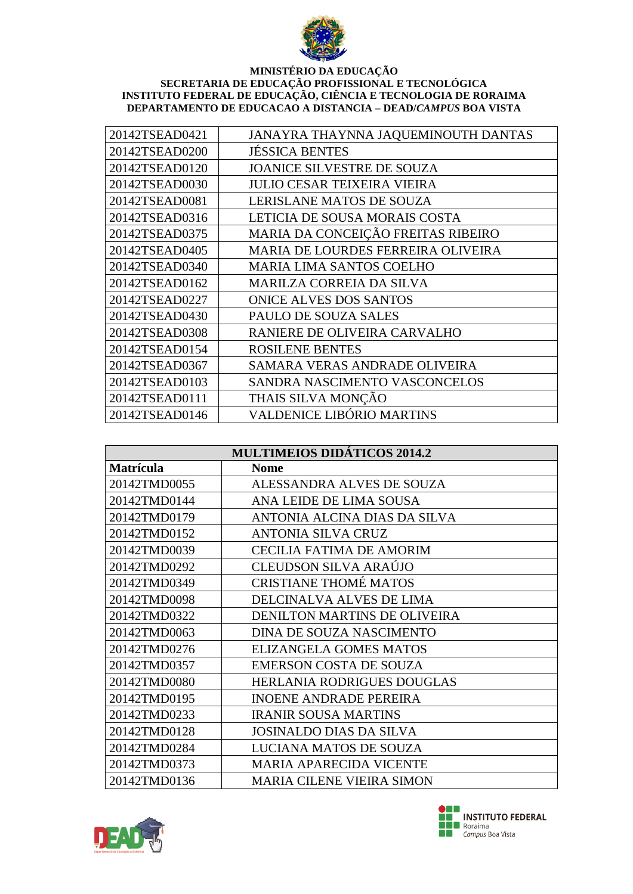

| 20142TSEAD0421 | JANAYRA THAYNNA JAQUEMINOUTH DANTAS |
|----------------|-------------------------------------|
| 20142TSEAD0200 | <b>JÉSSICA BENTES</b>               |
| 20142TSEAD0120 | <b>JOANICE SILVESTRE DE SOUZA</b>   |
| 20142TSEAD0030 | JULIO CESAR TEIXEIRA VIEIRA         |
| 20142TSEAD0081 | LERISLANE MATOS DE SOUZA            |
| 20142TSEAD0316 | LETICIA DE SOUSA MORAIS COSTA       |
| 20142TSEAD0375 | MARIA DA CONCEIÇÃO FREITAS RIBEIRO  |
| 20142TSEAD0405 | MARIA DE LOURDES FERREIRA OLIVEIRA  |
| 20142TSEAD0340 | <b>MARIA LIMA SANTOS COELHO</b>     |
| 20142TSEAD0162 | <b>MARILZA CORREIA DA SILVA</b>     |
| 20142TSEAD0227 | <b>ONICE ALVES DOS SANTOS</b>       |
| 20142TSEAD0430 | PAULO DE SOUZA SALES                |
| 20142TSEAD0308 | RANIERE DE OLIVEIRA CARVALHO        |
| 20142TSEAD0154 | <b>ROSILENE BENTES</b>              |
| 20142TSEAD0367 | SAMARA VERAS ANDRADE OLIVEIRA       |
| 20142TSEAD0103 | SANDRA NASCIMENTO VASCONCELOS       |
| 20142TSEAD0111 | THAIS SILVA MONÇÃO                  |
| 20142TSEAD0146 | <b>VALDENICE LIBÓRIO MARTINS</b>    |

| <b>MULTIMEIOS DIDÁTICOS 2014.2</b> |                                     |
|------------------------------------|-------------------------------------|
| <b>Matrícula</b>                   | <b>Nome</b>                         |
| 20142TMD0055                       | ALESSANDRA ALVES DE SOUZA           |
| 20142TMD0144                       | ANA LEIDE DE LIMA SOUSA             |
| 20142TMD0179                       | ANTONIA ALCINA DIAS DA SILVA        |
| 20142TMD0152                       | <b>ANTONIA SILVA CRUZ</b>           |
| 20142TMD0039                       | <b>CECILIA FATIMA DE AMORIM</b>     |
| 20142TMD0292                       | CLEUDSON SILVA ARAÚJO               |
| 20142TMD0349                       | <b>CRISTIANE THOMÉ MATOS</b>        |
| 20142TMD0098                       | DELCINALVA ALVES DE LIMA            |
| 20142TMD0322                       | <b>DENILTON MARTINS DE OLIVEIRA</b> |
| 20142TMD0063                       | DINA DE SOUZA NASCIMENTO            |
| 20142TMD0276                       | <b>ELIZANGELA GOMES MATOS</b>       |
| 20142TMD0357                       | <b>EMERSON COSTA DE SOUZA</b>       |
| 20142TMD0080                       | HERLANIA RODRIGUES DOUGLAS          |
| 20142TMD0195                       | <b>INOENE ANDRADE PEREIRA</b>       |
| 20142TMD0233                       | <b>IRANIR SOUSA MARTINS</b>         |
| 20142TMD0128                       | <b>JOSINALDO DIAS DA SILVA</b>      |
| 20142TMD0284                       | LUCIANA MATOS DE SOUZA              |
| 20142TMD0373                       | <b>MARIA APARECIDA VICENTE</b>      |
| 20142TMD0136                       | <b>MARIA CILENE VIEIRA SIMON</b>    |



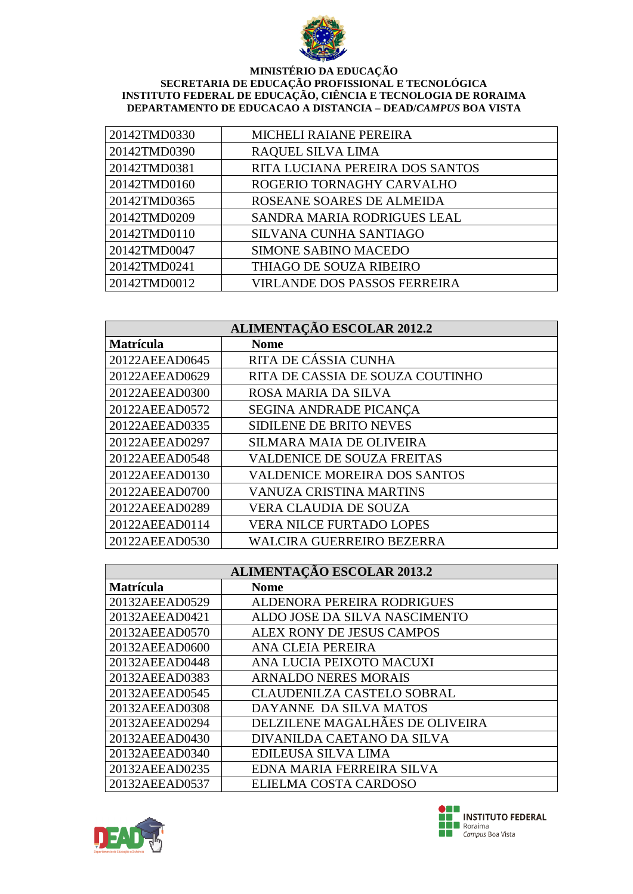

| 20142TMD0330 | <b>MICHELI RAIANE PEREIRA</b>       |
|--------------|-------------------------------------|
| 20142TMD0390 | RAQUEL SILVA LIMA                   |
| 20142TMD0381 | RITA LUCIANA PEREIRA DOS SANTOS     |
| 20142TMD0160 | ROGERIO TORNAGHY CARVALHO           |
| 20142TMD0365 | ROSEANE SOARES DE ALMEIDA           |
| 20142TMD0209 | SANDRA MARIA RODRIGUES LEAL         |
| 20142TMD0110 | SILVANA CUNHA SANTIAGO              |
| 20142TMD0047 | <b>SIMONE SABINO MACEDO</b>         |
| 20142TMD0241 | THIAGO DE SOUZA RIBEIRO             |
| 20142TMD0012 | <b>VIRLANDE DOS PASSOS FERREIRA</b> |

| <b>ALIMENTAÇÃO ESCOLAR 2012.2</b> |                                     |  |
|-----------------------------------|-------------------------------------|--|
| <b>Matrícula</b>                  | <b>Nome</b>                         |  |
| 20122AEEAD0645                    | RITA DE CÁSSIA CUNHA                |  |
| 20122AEEAD0629                    | RITA DE CASSIA DE SOUZA COUTINHO    |  |
| 20122AEEAD0300                    | ROSA MARIA DA SILVA                 |  |
| 20122AEEAD0572                    | SEGINA ANDRADE PICANÇA              |  |
| 20122AEEAD0335                    | <b>SIDILENE DE BRITO NEVES</b>      |  |
| 20122AEEAD0297                    | <b>SILMARA MAIA DE OLIVEIRA</b>     |  |
| 20122AEEAD0548                    | <b>VALDENICE DE SOUZA FREITAS</b>   |  |
| 20122AEEAD0130                    | <b>VALDENICE MOREIRA DOS SANTOS</b> |  |
| 20122AEEAD0700                    | <b>VANUZA CRISTINA MARTINS</b>      |  |
| 20122AEEAD0289                    | <b>VERA CLAUDIA DE SOUZA</b>        |  |
| 20122AEEAD0114                    | <b>VERA NILCE FURTADO LOPES</b>     |  |
| 20122AEEAD0530                    | <b>WALCIRA GUERREIRO BEZERRA</b>    |  |

| <b>ALIMENTAÇÃO ESCOLAR 2013.2</b> |                                   |
|-----------------------------------|-----------------------------------|
| <b>Matrícula</b>                  | <b>Nome</b>                       |
| 20132AEEAD0529                    | <b>ALDENORA PEREIRA RODRIGUES</b> |
| 20132AEEAD0421                    | ALDO JOSE DA SILVA NASCIMENTO     |
| 20132AEEAD0570                    | ALEX RONY DE JESUS CAMPOS         |
| 20132AEEAD0600                    | ANA CLEIA PEREIRA                 |
| 20132AEEAD0448                    | ANA LUCIA PEIXOTO MACUXI          |
| 20132AEEAD0383                    | <b>ARNALDO NERES MORAIS</b>       |
| 20132AEEAD0545                    | <b>CLAUDENILZA CASTELO SOBRAL</b> |
| 20132AEEAD0308                    | DAYANNE DA SILVA MATOS            |
| 20132AEEAD0294                    | DELZILENE MAGALHÃES DE OLIVEIRA   |
| 20132AEEAD0430                    | DIVANILDA CAETANO DA SILVA        |
| 20132AEEAD0340                    | EDILEUSA SILVA LIMA               |
| 20132AEEAD0235                    | EDNA MARIA FERREIRA SILVA         |
| 20132AEEAD0537                    | ELIELMA COSTA CARDOSO             |



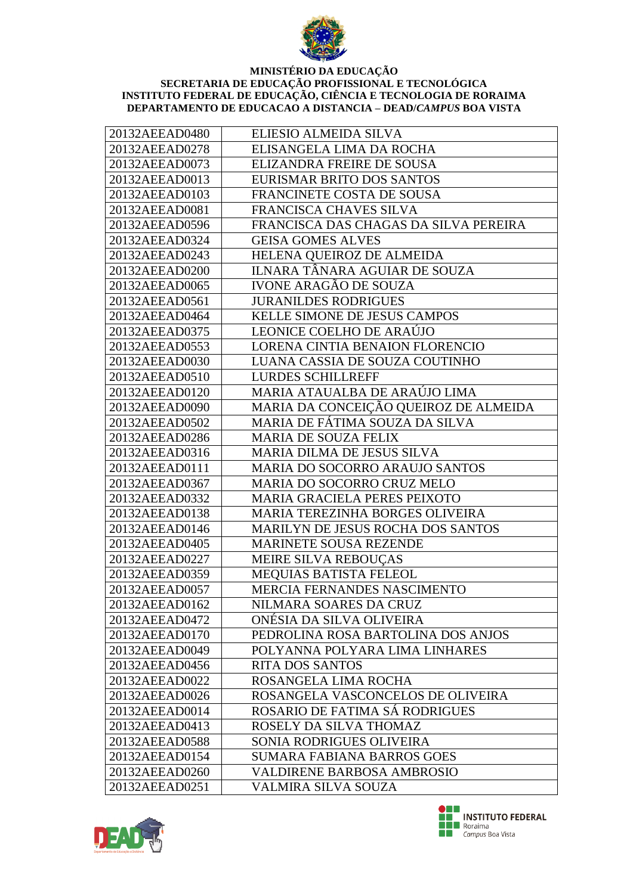

| 20132AEEAD0480 | ELIESIO ALMEIDA SILVA                    |
|----------------|------------------------------------------|
| 20132AEEAD0278 | ELISANGELA LIMA DA ROCHA                 |
| 20132AEEAD0073 | ELIZANDRA FREIRE DE SOUSA                |
| 20132AEEAD0013 | EURISMAR BRITO DOS SANTOS                |
| 20132AEEAD0103 | FRANCINETE COSTA DE SOUSA                |
| 20132AEEAD0081 | FRANCISCA CHAVES SILVA                   |
| 20132AEEAD0596 | FRANCISCA DAS CHAGAS DA SILVA PEREIRA    |
| 20132AEEAD0324 | <b>GEISA GOMES ALVES</b>                 |
| 20132AEEAD0243 | HELENA QUEIROZ DE ALMEIDA                |
| 20132AEEAD0200 | ILNARA TÂNARA AGUIAR DE SOUZA            |
| 20132AEEAD0065 | <b>IVONE ARAGÃO DE SOUZA</b>             |
| 20132AEEAD0561 | <b>JURANILDES RODRIGUES</b>              |
| 20132AEEAD0464 | KELLE SIMONE DE JESUS CAMPOS             |
| 20132AEEAD0375 | LEONICE COELHO DE ARAÚJO                 |
| 20132AEEAD0553 | LORENA CINTIA BENAION FLORENCIO          |
| 20132AEEAD0030 | LUANA CASSIA DE SOUZA COUTINHO           |
| 20132AEEAD0510 | <b>LURDES SCHILLREFF</b>                 |
| 20132AEEAD0120 | MARIA ATAUALBA DE ARAÚJO LIMA            |
| 20132AEEAD0090 | MARIA DA CONCEIÇÃO QUEIROZ DE ALMEIDA    |
| 20132AEEAD0502 | MARIA DE FÁTIMA SOUZA DA SILVA           |
| 20132AEEAD0286 | <b>MARIA DE SOUZA FELIX</b>              |
| 20132AEEAD0316 | <b>MARIA DILMA DE JESUS SILVA</b>        |
| 20132AEEAD0111 | MARIA DO SOCORRO ARAUJO SANTOS           |
| 20132AEEAD0367 | MARIA DO SOCORRO CRUZ MELO               |
| 20132AEEAD0332 | <b>MARIA GRACIELA PERES PEIXOTO</b>      |
| 20132AEEAD0138 | MARIA TEREZINHA BORGES OLIVEIRA          |
| 20132AEEAD0146 | <b>MARILYN DE JESUS ROCHA DOS SANTOS</b> |
| 20132AEEAD0405 | <b>MARINETE SOUSA REZENDE</b>            |
| 20132AEEAD0227 | MEIRE SILVA REBOUÇAS                     |
| 20132AEEAD0359 | <b>MEQUIAS BATISTA FELEOL</b>            |
| 20132AEEAD0057 | MERCIA FERNANDES NASCIMENTO              |
| 20132AEEAD0162 | NILMARA SOARES DA CRUZ                   |
| 20132AEEAD0472 | ONESIA DA SILVA OLIVEIRA                 |
| 20132AEEAD0170 | PEDROLINA ROSA BARTOLINA DOS ANJOS       |
| 20132AEEAD0049 | POLYANNA POLYARA LIMA LINHARES           |
| 20132AEEAD0456 | <b>RITA DOS SANTOS</b>                   |
| 20132AEEAD0022 | ROSANGELA LIMA ROCHA                     |
| 20132AEEAD0026 | ROSANGELA VASCONCELOS DE OLIVEIRA        |
| 20132AEEAD0014 | ROSARIO DE FATIMA SÁ RODRIGUES           |
| 20132AEEAD0413 | ROSELY DA SILVA THOMAZ                   |
| 20132AEEAD0588 | SONIA RODRIGUES OLIVEIRA                 |
| 20132AEEAD0154 | <b>SUMARA FABIANA BARROS GOES</b>        |
| 20132AEEAD0260 | <b>VALDIRENE BARBOSA AMBROSIO</b>        |
| 20132AEEAD0251 | VALMIRA SILVA SOUZA                      |